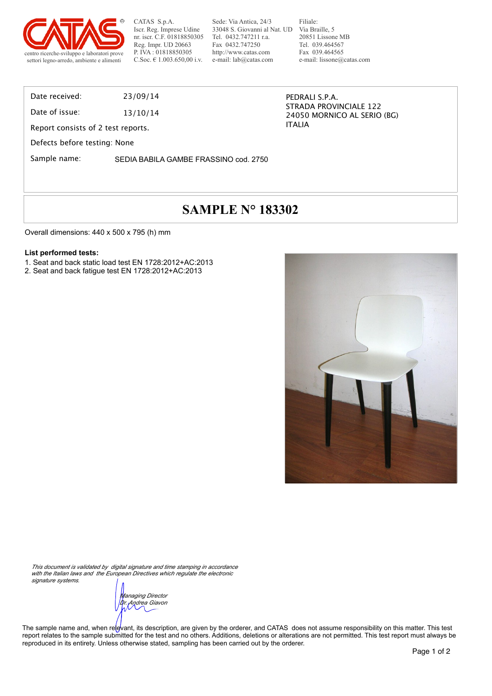

Sede: Via Antica, 24/3 33048 S. Giovanni al Nat. UD Tel. 0432.747211 r.a. Fax 0432.747250 http://www.catas.com e-mail: lab@catas.com

Filiale: Via Braille, 5 20851 Lissone MB Tel. 039.464567 Fax 039.464565 e-mail: lissone@catas.com

STRADA PROVINCIALE 122 24050 MORNICO AL SERIO (BG)

PEDRALI S.P.A.

ITALIA

Date received: 23/09/14

Date of issue: 13/10/14

Report consists of 2 test reports.

Defects before testing: None

Sample name: SEDIA BABILA GAMBE FRASSINO cod. 2750

## **SAMPLE N° 183302**

Overall dimensions: 440 x 500 x 795 (h) mm

#### **List performed tests:**

- 1. Seat and back static load test EN 1728:2012+AC:2013
- 2. Seat and back fatigue test EN 1728:2012+AC:2013



*This document is validated by digital signature and time stamping in accordance with the Italian laws and the European Directives which regulate the electronic signature systems.*

*Managing Director Dr. Andrea Giavon*

The sample name and, when relevant, its description, are given by the orderer, and CATAS does not assume responsibility on this matter. This test report relates to the sample submitted for the test and no others. Additions, deletions or alterations are not permitted. This test report must always be reproduced in its entirety. Unless otherwise stated, sampling has been carried out by the orderer.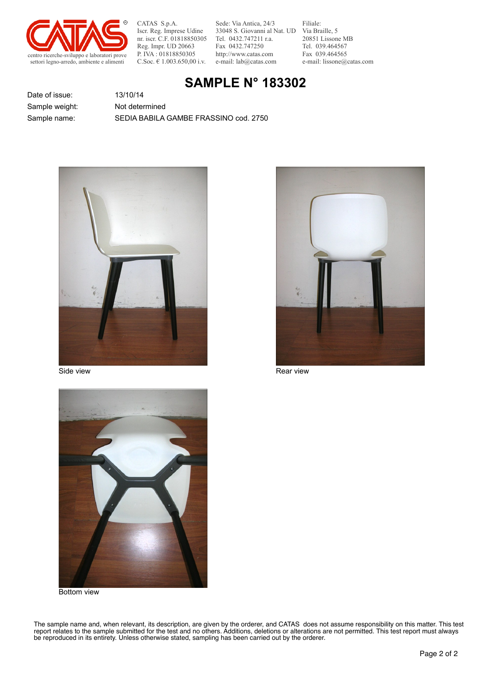

Sede: Via Antica, 24/3 33048 S. Giovanni al Nat. UD Tel. 0432.747211 r.a. Fax 0432.747250 http://www.catas.com e-mail: lab@catas.com

Filiale: Via Braille, 5 20851 Lissone MB Tel. 039.464567 Fax 039.464565 e-mail: lissone@catas.com

### **SAMPLE N° 183302**

Date of issue: 13/10/14

Sample name: SEDIA BABILA GAMBE FRASSINO cod. 2750 Sample weight: Not determined



Side view **Rear view** Rear view Rear view Rear view Rear view Rear view Rear view Rear view Rear view Rear view Rear view Rear view Rear view Rear view Rear view Rear view Rear view Rear view Rear view Rear view Rear view





Bottom view

The sample name and, when relevant, its description, are given by the orderer, and CATAS does not assume responsibility on this matter. This test report relates to the sample submitted for the test and no others. Additions, deletions or alterations are not permitted. This test report must always be reproduced in its entirety. Unless otherwise stated, sampling has been carried out by the orderer.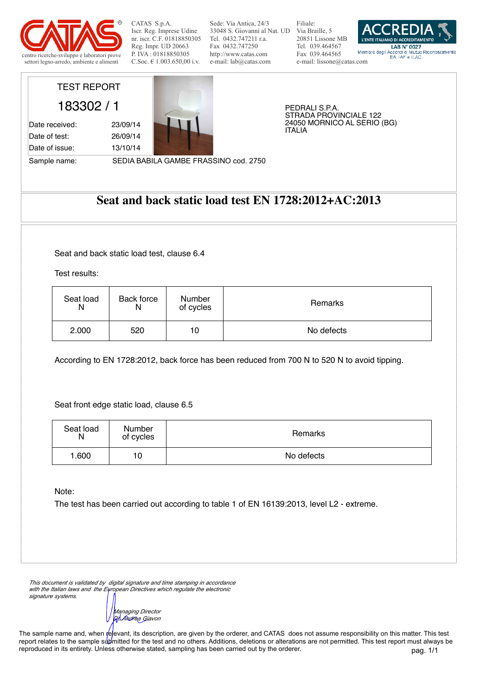

Sede: Via Antica, 24/3 33048 S. Giovanni al Nat. UD Via Braille, 5 Tel. 0432.747211 r.a. Fax 0432.747250 http://www.catas.com e-mail: lab@catas.com

Filiale: 20851 Lissone MB Tel. 039.464567 Fax 039.464565 e-mail: lissone@catas.com



## TEST REPORT

Date of issue: 13/10/14

183302 / 1 Date received: 23/09/14 Date of test: 26/09/14



PEDRALI S.P.A. STRADA PROVINCIALE 122 24050 MORNICO AL SERIO (BG) ITALIA

Sample name: SEDIA BABILA GAMBE FRASSINO cod. 2750

#### **Seat and back static load test EN 1728:2012+AC:2013**

Seat and back static load test, clause 6.4

Test results:

| Seat load | Back force | Number    | Remarks    |
|-----------|------------|-----------|------------|
| N         | N          | of cycles |            |
| 2.000     | 520        | 10        | No defects |

According to EN 1728:2012, back force has been reduced from 700 N to 520 N to avoid tipping.

Seat front edge static load, clause 6.5

| Seat load<br>N | Number<br>of cycles | Remarks    |
|----------------|---------------------|------------|
| 1.600          | 10                  | No defects |

Note:

The test has been carried out according to table 1 of EN 16139:2013, level L2 - extreme.

*This document is validated by digital signature and time stamping in accordance with the Italian laws and the European Directives which regulate the electronic signature systems.*

*Managing Director Dr. Andrea Giavon*

pag. 1/1 The sample name and, when relevant, its description, are given by the orderer, and CATAS does not assume responsibility on this matter. This test report relates to the sample submitted for the test and no others. Additions, deletions or alterations are not permitted. This test report must always be reproduced in its entirety. Unless otherwise stated, sampling has been carried out by the orderer.